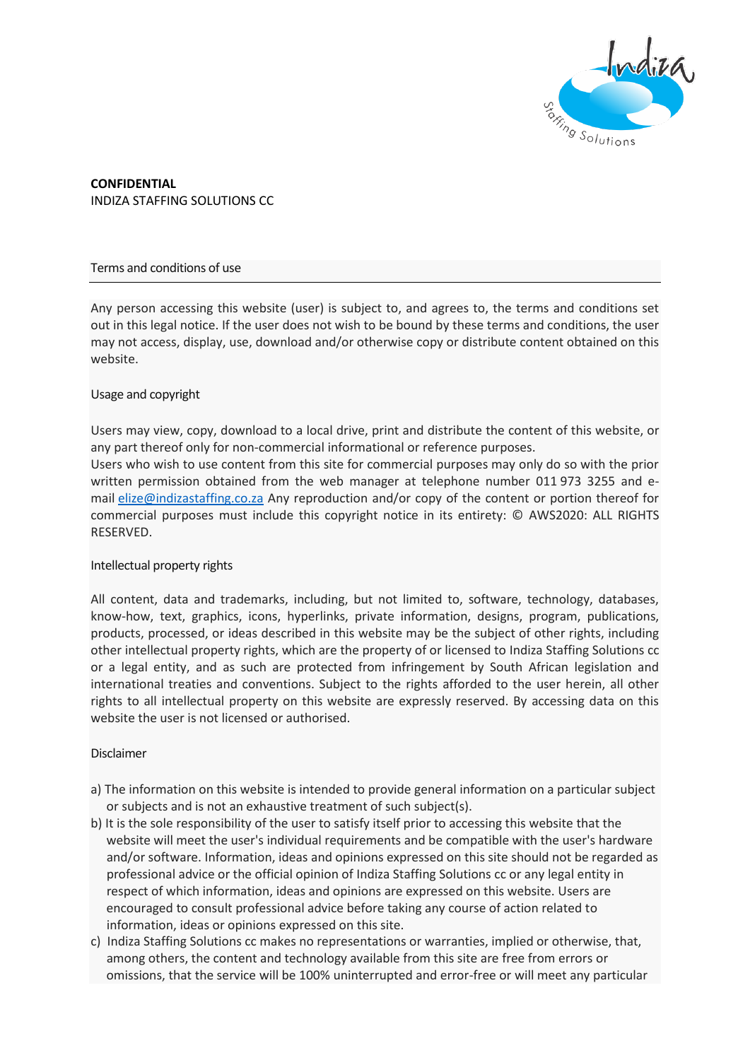

**CONFIDENTIAL** INDIZA STAFFING SOLUTIONS CC

# Terms and conditions of use

Any person accessing this website (user) is subject to, and agrees to, the terms and conditions set out in this legal notice. If the user does not wish to be bound by these terms and conditions, the user may not access, display, use, download and/or otherwise copy or distribute content obtained on this website.

## Usage and copyright

Users may view, copy, download to a local drive, print and distribute the content of this website, or any part thereof only for non-commercial informational or reference purposes.

Users who wish to use content from this site for commercial purposes may only do so with the prior written permission obtained from the web manager at telephone number 011 973 3255 and email [elize@indizastaffing.co.za](mailto:elize@indizastaffing.co.za) Any reproduction and/or copy of the content or portion thereof for commercial purposes must include this copyright notice in its entirety: © AWS2020: ALL RIGHTS RESERVED.

# Intellectual property rights

All content, data and trademarks, including, but not limited to, software, technology, databases, know-how, text, graphics, icons, hyperlinks, private information, designs, program, publications, products, processed, or ideas described in this website may be the subject of other rights, including other intellectual property rights, which are the property of or licensed to Indiza Staffing Solutions cc or a legal entity, and as such are protected from infringement by South African legislation and international treaties and conventions. Subject to the rights afforded to the user herein, all other rights to all intellectual property on this website are expressly reserved. By accessing data on this website the user is not licensed or authorised.

# Disclaimer

- a) The information on this website is intended to provide general information on a particular subject or subjects and is not an exhaustive treatment of such subject(s).
- b) It is the sole responsibility of the user to satisfy itself prior to accessing this website that the website will meet the user's individual requirements and be compatible with the user's hardware and/or software. Information, ideas and opinions expressed on this site should not be regarded as professional advice or the official opinion of Indiza Staffing Solutions cc or any legal entity in respect of which information, ideas and opinions are expressed on this website. Users are encouraged to consult professional advice before taking any course of action related to information, ideas or opinions expressed on this site.
- c) Indiza Staffing Solutions cc makes no representations or warranties, implied or otherwise, that, among others, the content and technology available from this site are free from errors or omissions, that the service will be 100% uninterrupted and error-free or will meet any particular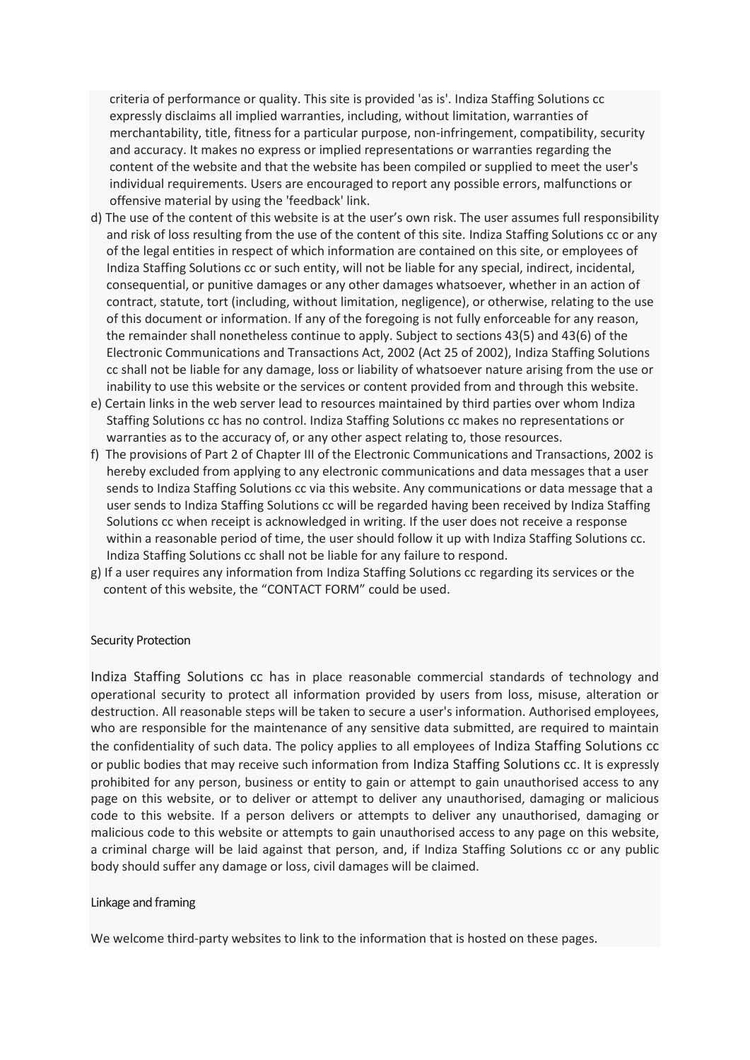criteria of performance or quality. This site is provided 'as is'. Indiza Staffing Solutions cc expressly disclaims all implied warranties, including, without limitation, warranties of merchantability, title, fitness for a particular purpose, non-infringement, compatibility, security and accuracy. It makes no express or implied representations or warranties regarding the content of the website and that the website has been compiled or supplied to meet the user's individual requirements. Users are encouraged to report any possible errors, malfunctions or offensive material by using the 'feedback' link.

- d) The use of the content of this website is at the user's own risk. The user assumes full responsibility and risk of loss resulting from the use of the content of this site. Indiza Staffing Solutions cc or any of the legal entities in respect of which information are contained on this site, or employees of Indiza Staffing Solutions cc or such entity, will not be liable for any special, indirect, incidental, consequential, or punitive damages or any other damages whatsoever, whether in an action of contract, statute, tort (including, without limitation, negligence), or otherwise, relating to the use of this document or information. If any of the foregoing is not fully enforceable for any reason, the remainder shall nonetheless continue to apply. Subject to sections 43(5) and 43(6) of the Electronic Communications and Transactions Act, 2002 (Act 25 of 2002), Indiza Staffing Solutions cc shall not be liable for any damage, loss or liability of whatsoever nature arising from the use or inability to use this website or the services or content provided from and through this website.
- e) Certain links in the web server lead to resources maintained by third parties over whom Indiza Staffing Solutions cc has no control. Indiza Staffing Solutions cc makes no representations or warranties as to the accuracy of, or any other aspect relating to, those resources.
- f) The provisions of Part 2 of Chapter III of the Electronic Communications and Transactions, 2002 is hereby excluded from applying to any electronic communications and data messages that a user sends to Indiza Staffing Solutions cc via this website. Any communications or data message that a user sends to Indiza Staffing Solutions cc will be regarded having been received by Indiza Staffing Solutions cc when receipt is acknowledged in writing. If the user does not receive a response within a reasonable period of time, the user should follow it up with Indiza Staffing Solutions cc. Indiza Staffing Solutions cc shall not be liable for any failure to respond.
- g) If a user requires any information from Indiza Staffing Solutions cc regarding its services or the content of this website, the "CONTACT FORM" could be used.

#### Security Protection

Indiza Staffing Solutions cc has in place reasonable commercial standards of technology and operational security to protect all information provided by users from loss, misuse, alteration or destruction. All reasonable steps will be taken to secure a user's information. Authorised employees, who are responsible for the maintenance of any sensitive data submitted, are required to maintain the confidentiality of such data. The policy applies to all employees of Indiza Staffing Solutions cc or public bodies that may receive such information from Indiza Staffing Solutions cc. It is expressly prohibited for any person, business or entity to gain or attempt to gain unauthorised access to any page on this website, or to deliver or attempt to deliver any unauthorised, damaging or malicious code to this website. If a person delivers or attempts to deliver any unauthorised, damaging or malicious code to this website or attempts to gain unauthorised access to any page on this website, a criminal charge will be laid against that person, and, if Indiza Staffing Solutions cc or any public body should suffer any damage or loss, civil damages will be claimed.

#### Linkage and framing

We welcome third-party websites to link to the information that is hosted on these pages.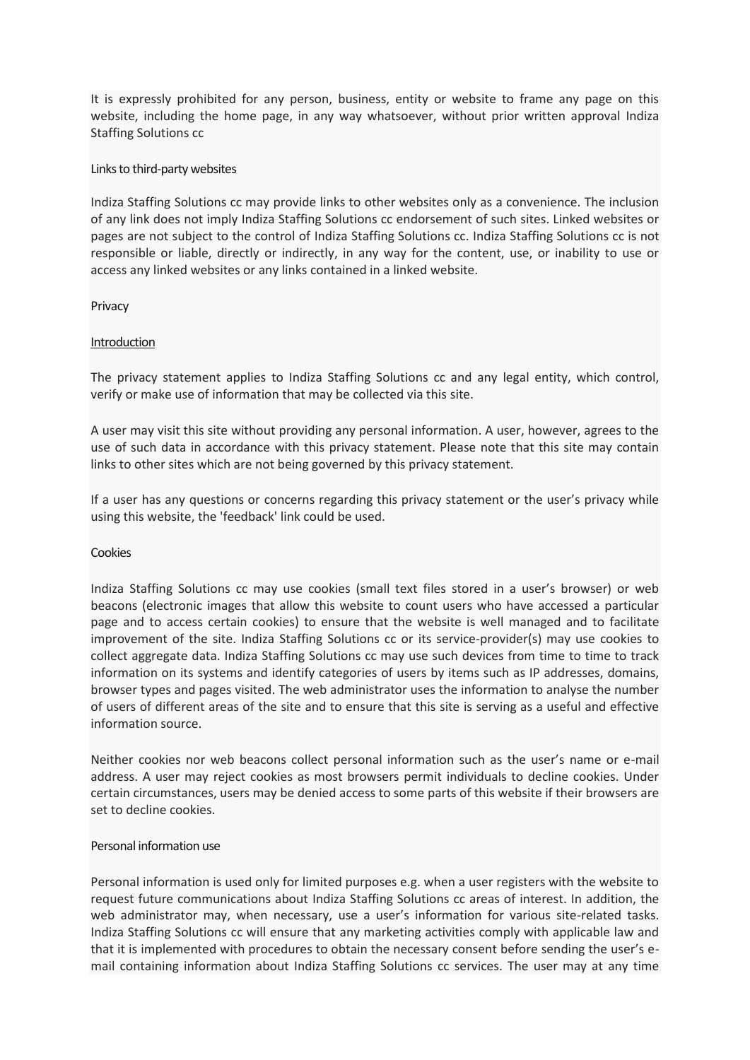It is expressly prohibited for any person, business, entity or website to frame any page on this website, including the home page, in any way whatsoever, without prior written approval Indiza Staffing Solutions cc

# Links to third-party websites

Indiza Staffing Solutions cc may provide links to other websites only as a convenience. The inclusion of any link does not imply Indiza Staffing Solutions cc endorsement of such sites. Linked websites or pages are not subject to the control of Indiza Staffing Solutions cc. Indiza Staffing Solutions cc is not responsible or liable, directly or indirectly, in any way for the content, use, or inability to use or access any linked websites or any links contained in a linked website.

## Privacy

## Introduction

The privacy statement applies to Indiza Staffing Solutions cc and any legal entity, which control, verify or make use of information that may be collected via this site.

A user may visit this site without providing any personal information. A user, however, agrees to the use of such data in accordance with this privacy statement. Please note that this site may contain links to other sites which are not being governed by this privacy statement.

If a user has any questions or concerns regarding this privacy statement or the user's privacy while using this website, the 'feedback' link could be used.

#### Cookies

Indiza Staffing Solutions cc may use cookies (small text files stored in a user's browser) or web beacons (electronic images that allow this website to count users who have accessed a particular page and to access certain cookies) to ensure that the website is well managed and to facilitate improvement of the site. Indiza Staffing Solutions cc or its service-provider(s) may use cookies to collect aggregate data. Indiza Staffing Solutions cc may use such devices from time to time to track information on its systems and identify categories of users by items such as IP addresses, domains, browser types and pages visited. The web administrator uses the information to analyse the number of users of different areas of the site and to ensure that this site is serving as a useful and effective information source.

Neither cookies nor web beacons collect personal information such as the user's name or e-mail address. A user may reject cookies as most browsers permit individuals to decline cookies. Under certain circumstances, users may be denied access to some parts of this website if their browsers are set to decline cookies.

# Personal information use

Personal information is used only for limited purposes e.g. when a user registers with the website to request future communications about Indiza Staffing Solutions cc areas of interest. In addition, the web administrator may, when necessary, use a user's information for various site-related tasks. Indiza Staffing Solutions cc will ensure that any marketing activities comply with applicable law and that it is implemented with procedures to obtain the necessary consent before sending the user's email containing information about Indiza Staffing Solutions cc services. The user may at any time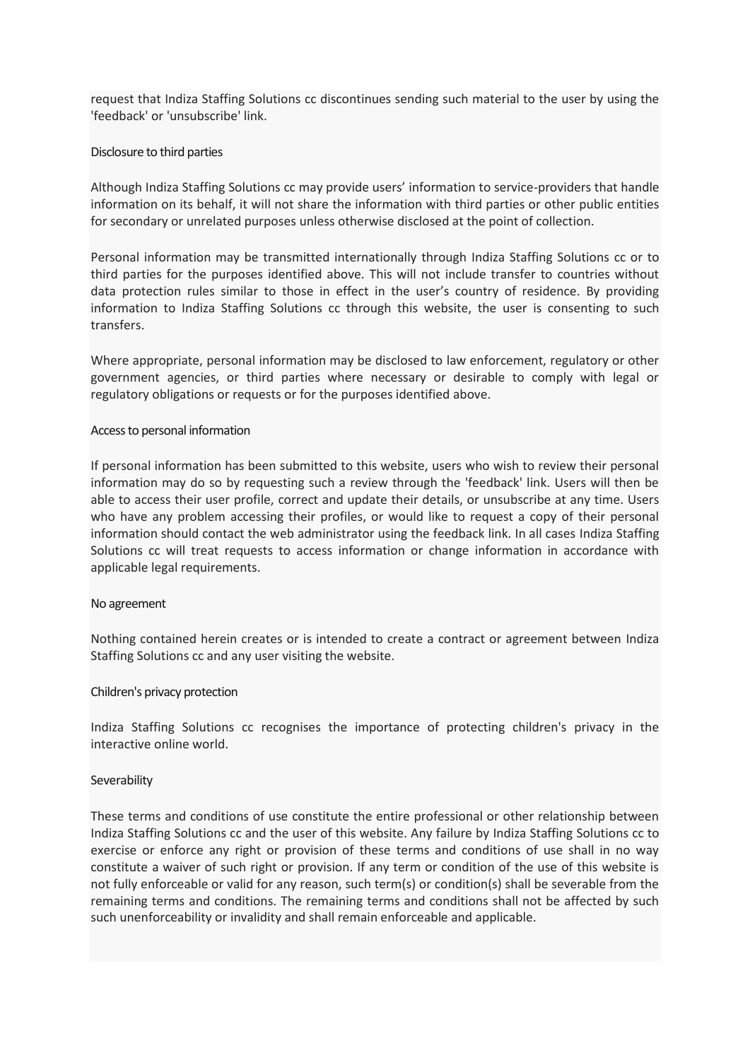request that Indiza Staffing Solutions cc discontinues sending such material to the user by using the 'feedback' or 'unsubscribe' link.

# Disclosure to third parties

Although Indiza Staffing Solutions cc may provide users' information to service-providers that handle information on its behalf, it will not share the information with third parties or other public entities for secondary or unrelated purposes unless otherwise disclosed at the point of collection.

Personal information may be transmitted internationally through Indiza Staffing Solutions cc or to third parties for the purposes identified above. This will not include transfer to countries without data protection rules similar to those in effect in the user's country of residence. By providing information to Indiza Staffing Solutions cc through this website, the user is consenting to such transfers.

Where appropriate, personal information may be disclosed to law enforcement, regulatory or other government agencies, or third parties where necessary or desirable to comply with legal or regulatory obligations or requests or for the purposes identified above.

#### Access to personal information

If personal information has been submitted to this website, users who wish to review their personal information may do so by requesting such a review through the 'feedback' link. Users will then be able to access their user profile, correct and update their details, or unsubscribe at any time. Users who have any problem accessing their profiles, or would like to request a copy of their personal information should contact the web administrator using the feedback link. In all cases Indiza Staffing Solutions cc will treat requests to access information or change information in accordance with applicable legal requirements.

#### No agreement

Nothing contained herein creates or is intended to create a contract or agreement between Indiza Staffing Solutions cc and any user visiting the website.

#### Children's privacy protection

Indiza Staffing Solutions cc recognises the importance of protecting children's privacy in the interactive online world.

#### **Severability**

These terms and conditions of use constitute the entire professional or other relationship between Indiza Staffing Solutions cc and the user of this website. Any failure by Indiza Staffing Solutions cc to exercise or enforce any right or provision of these terms and conditions of use shall in no way constitute a waiver of such right or provision. If any term or condition of the use of this website is not fully enforceable or valid for any reason, such term(s) or condition(s) shall be severable from the remaining terms and conditions. The remaining terms and conditions shall not be affected by such such unenforceability or invalidity and shall remain enforceable and applicable.